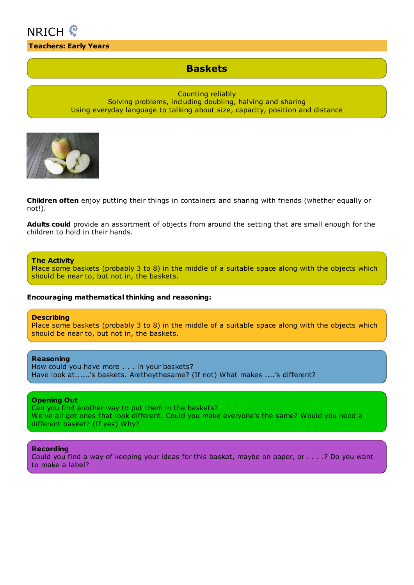

### **Teachers: Early Years**

# **Baskets**

Counting reliably Solving problems, including doubling, halving and sharing Using everyday language to talking about size, capacity, position and distance

**Children often** enjoy putting their things in containers and sharing with friends (whether equally or not!).

**Adults could** provide an assortment of objects from around the setting that are small enough for the children to hold in their hands.

#### **The Activity**

Place some baskets (probably 3 to 8) in the middle of a suitable space along with the objects which should be near to, but not in, the baskets.

#### **Encouraging mathematical thinking and reasoning:**

#### **Describing**

Place some baskets (probably 3 to 8) in the middle of a suitable space along with the objects which should be near to, but not in, the baskets.

#### **Reasoning**

How could you have more . . . in your baskets? Have look at......'s baskets. Aretheythesame? (If not) What makes ....'s different?

### **Opening Out**

Can you find another way to put them in the baskets? We've all got ones that look different. Could you make everyone's the same? Would you need a different basket? (If yes) Why?

#### **Recording**

Could you find a way of keeping your ideas for this basket, maybe on paper, or . . . .? Do you want to make a label?